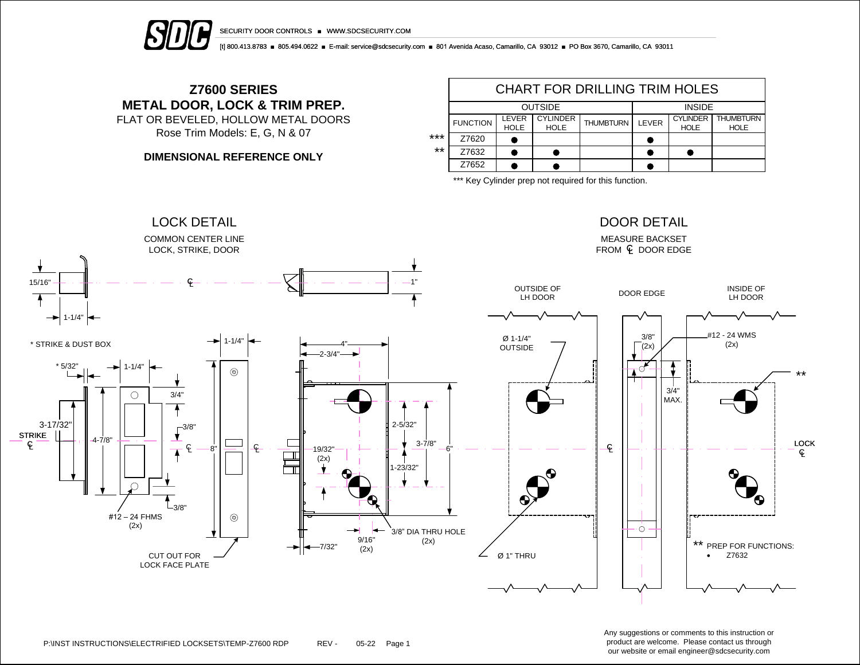



[t] 800.413.8783 ■ 805.494.0622 ■ E-mail: service@sdcsecurity.com ■ 801 Avenida Acaso, Camarillo, CA 93012 ■ PO Box 3670, Camarillo, CA 93011

## **Z7600 SERIES METAL DOOR, LOCK & TRIM PREP.** FLAT OR BEVELED, HOLLOW METAL DOORS

Rose Trim Models: E, G, N & 07

**DIMENSIONAL REFERENCE ONLY**

|       | CHART FOR DRILLING TRIM HOLES |                      |                                |                  |               |                                |                                 |  |  |  |
|-------|-------------------------------|----------------------|--------------------------------|------------------|---------------|--------------------------------|---------------------------------|--|--|--|
|       |                               |                      | <b>OUTSIDE</b>                 | <b>INSIDE</b>    |               |                                |                                 |  |  |  |
|       | <b>FUNCTION</b>               | LEVER<br><b>HOLE</b> | <b>CYLINDER</b><br><b>HOLE</b> | <b>THUMBTURN</b> | <b>I FVFR</b> | <b>CYLINDER</b><br><b>HOLE</b> | <b>THUMBTURN</b><br><b>HOLE</b> |  |  |  |
| ***   | Z7620                         |                      |                                |                  |               |                                |                                 |  |  |  |
| $***$ | Z7632                         |                      |                                |                  |               |                                |                                 |  |  |  |
|       | Z7652                         |                      |                                |                  |               |                                |                                 |  |  |  |

\*\*\* Key Cylinder prep not required for this function.



P:\INST INSTRUCTIONS\ELECTRIFIED LOCKSETS\TEMP-Z7600 RDP REV - 05-22 Page 1

Any suggestions or comments to this instruction or product are welcome. Please contact us through our website or email engineer@sdcsecurity.com